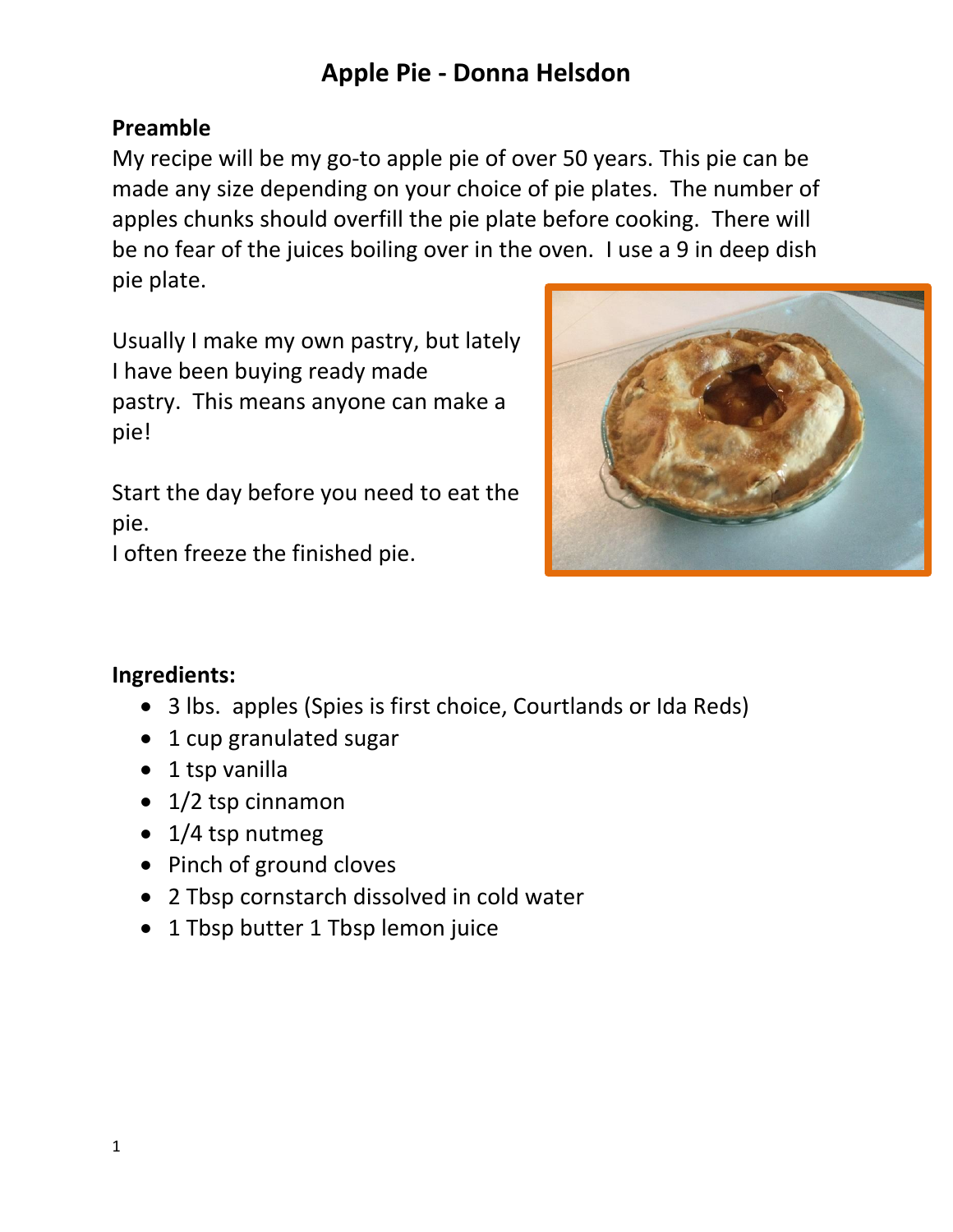# **Apple Pie - Donna Helsdon**

#### **Preamble**

My recipe will be my go-to apple pie of over 50 years. This pie can be made any size depending on your choice of pie plates. The number of apples chunks should overfill the pie plate before cooking. There will be no fear of the juices boiling over in the oven. I use a 9 in deep dish pie plate.

Usually I make my own pastry, but lately I have been buying ready made pastry. This means anyone can make a pie!

Start the day before you need to eat the pie.

I often freeze the finished pie.



### **Ingredients:**

- 3 lbs. apples (Spies is first choice, Courtlands or Ida Reds)
- 1 cup granulated sugar
- 1 tsp vanilla
- 1/2 tsp cinnamon
- 1/4 tsp nutmeg
- Pinch of ground cloves
- 2 Tbsp cornstarch dissolved in cold water
- 1 Tbsp butter 1 Tbsp lemon juice